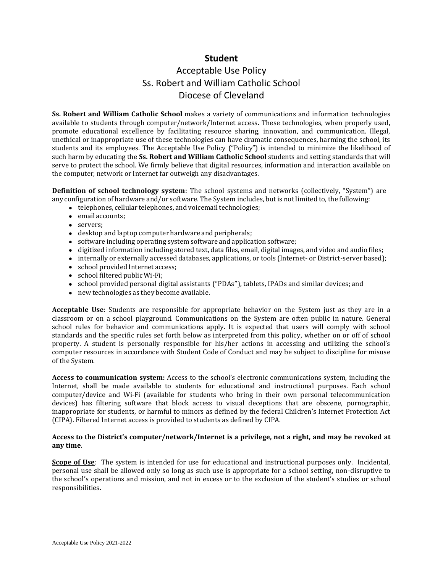### **Student**

## Acceptable Use Policy Ss. Robert and William Catholic School Diocese of Cleveland

**Ss. Robert and William Catholic School** makes a variety of communications and information technologies available to students through computer/network/Internet access. These technologies, when properly used, promote educational excellence by facilitating resource sharing, innovation, and communication. Illegal, unethical or inappropriate use of these technologies can have dramatic consequences, harming the school, its students and its employees. The Acceptable Use Policy ("Policy") is intended to minimize the likelihood of such harm by educating the **Ss. Robert and William Catholic School** students and setting standards that will serve to protect the school. We firmly believe that digital resources, information and interaction available on the computer, network or Internet far outweigh any disadvantages.

**Definition of school technology system**: The school systems and networks (collectively, "System") are any configuration of hardware and/or software. The System includes, but is not limited to, the following:

- telephones, cellular telephones, and voicemail technologies;
- email accounts:
- servers;
- desktop and laptop computer hardware and peripherals;
- software including operating system software and application software;
- digitized information including stored text, data files, email, digital images, and video and audio files;
- internally or externally accessed databases, applications, or tools (Internet- or District-server based);
- school provided Internet access;
- school filtered public Wi-Fi;
- school provided personal digital assistants ("PDAs"), tablets, IPADs and similar devices; and
- new technologies as they become available.

**Acceptable Use**: Students are responsible for appropriate behavior on the System just as they are in a classroom or on a school playground. Communications on the System are often public in nature. General school rules for behavior and communications apply. It is expected that users will comply with school standards and the specific rules set forth below as interpreted from this policy, whether on or off of school property. A student is personally responsible for his/her actions in accessing and utilizing the school's computer resources in accordance with Student Code of Conduct and may be subject to discipline for misuse of the System.

**Access to communication system:** Access to the school's electronic communications system, including the Internet, shall be made available to students for educational and instructional purposes. Each school computer/device and Wi-Fi (available for students who bring in their own personal telecommunication devices) has filtering software that block access to visual deceptions that are obscene, pornographic, inappropriate for students, or harmful to minors as defined by the federal Children's Internet Protection Act (CIPA). Filtered Internet access is provided to students as defined by CIPA.

#### **Access to the District's computer/network/Internet is a privilege, not a right, and may be revoked at any time**.

**Scope of Use**: The system is intended for use for educational and instructional purposes only. Incidental, personal use shall be allowed only so long as such use is appropriate for a school setting, non-disruptive to the school's operations and mission, and not in excess or to the exclusion of the student's studies or school responsibilities.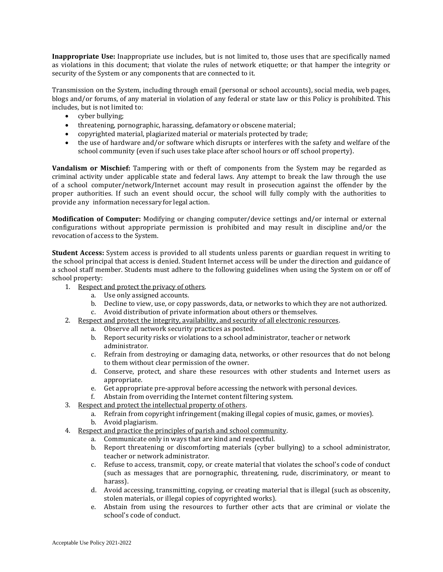**Inappropriate Use:** Inappropriate use includes, but is not limited to, those uses that are specifically named as violations in this document; that violate the rules of network etiquette; or that hamper the integrity or security of the System or any components that are connected to it.

Transmission on the System, including through email (personal or school accounts), social media, web pages, blogs and/or forums, of any material in violation of any federal or state law or this Policy is prohibited. This includes, but is not limited to:

- cyber bullying;
- threatening, pornographic, harassing, defamatory or obscene material;
- copyrighted material, plagiarized material or materials protected by trade;
- the use of hardware and/or software which disrupts or interferes with the safety and welfare of the school community (even if such uses take place after school hours or off school property).

**Vandalism or Mischief:** Tampering with or theft of components from the System may be regarded as criminal activity under applicable state and federal laws. Any attempt to break the law through the use of a school computer/network/Internet account may result in prosecution against the offender by the proper authorities. If such an event should occur, the school will fully comply with the authorities to provide any information necessary for legal action.

**Modification of Computer:** Modifying or changing computer/device settings and/or internal or external configurations without appropriate permission is prohibited and may result in discipline and/or the revocation of access to the System.

**Student Access:** System access is provided to all students unless parents or guardian request in writing to the school principal that access is denied. Student Internet access will be under the direction and guidance of a school staff member. Students must adhere to the following guidelines when using the System on or off of school property:

- 1. Respect and protect the privacy of others.
	- a. Use only assigned accounts.
	- b. Decline to view, use, or copy passwords, data, or networks to which they are not authorized.
	- c. Avoid distribution of private information about others or themselves.
- 2. Respect and protect the integrity, availability, and security of all electronic resources.
	- a. Observe all network security practices as posted.
		- b. Report security risks or violations to a school administrator, teacher or network administrator.
		- c. Refrain from destroying or damaging data, networks, or other resources that do not belong to them without clear permission of the owner.
		- d. Conserve, protect, and share these resources with other students and Internet users as appropriate.
		- e. Get appropriate pre-approval before accessing the network with personal devices.
		- f. Abstain from overriding the Internet content filtering system.
- 3. Respect and protect the intellectual property of others.
	- a. Refrain from copyright infringement (making illegal copies of music, games, or movies).
	- b. Avoid plagiarism.
- 4. Respect and practice the principles of parish and school community.
	- a. Communicate only in ways that are kind and respectful.
	- b. Report threatening or discomforting materials (cyber bullying) to a school administrator, teacher or network administrator.
	- c. Refuse to access, transmit, copy, or create material that violates the school's code of conduct (such as messages that are pornographic, threatening, rude, discriminatory, or meant to harass).
	- d. Avoid accessing, transmitting, copying, or creating material that is illegal (such as obscenity, stolen materials, or illegal copies of copyrighted works).
	- e. Abstain from using the resources to further other acts that are criminal or violate the school's code of conduct.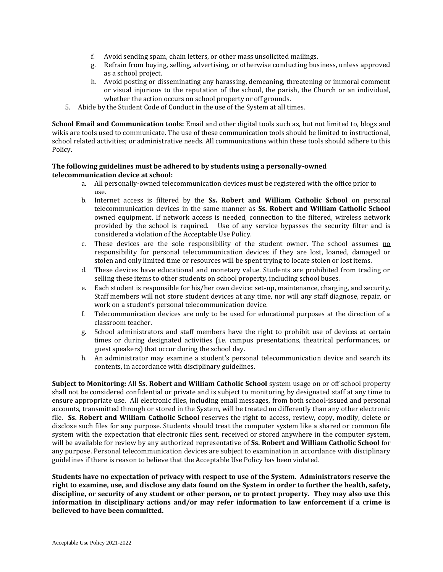- f. Avoid sending spam, chain letters, or other mass unsolicited mailings.
- g. Refrain from buying, selling, advertising, or otherwise conducting business, unless approved as a school project.
- h. Avoid posting or disseminating any harassing, demeaning, threatening or immoral comment or visual injurious to the reputation of the school, the parish, the Church or an individual, whether the action occurs on school property or off grounds.
- 5. Abide by the Student Code of Conduct in the use of the System at all times.

**School Email and Communication tools:** Email and other digital tools such as, but not limited to, blogs and wikis are tools used to communicate. The use of these communication tools should be limited to instructional, school related activities; or administrative needs. All communications within these tools should adhere to this Policy.

#### **The following guidelines must be adhered to by students using a personally-owned telecommunication device at school:**

- a. All personally-owned telecommunication devices must be registered with the office prior to use.
- b. Internet access is filtered by the **Ss. Robert and William Catholic School** on personal telecommunication devices in the same manner as **Ss. Robert and William Catholic School** owned equipment. If network access is needed, connection to the filtered, wireless network provided by the school is required. Use of any service bypasses the security filter and is considered a violation of the Acceptable Use Policy.
- c. These devices are the sole responsibility of the student owner. The school assumes no responsibility for personal telecommunication devices if they are lost, loaned, damaged or stolen and only limited time or resources will be spent trying to locate stolen or lost items.
- d. These devices have educational and monetary value. Students are prohibited from trading or selling these items to other students on school property, including school buses.
- e. Each student is responsible for his/her own device: set-up, maintenance, charging, and security. Staff members will not store student devices at any time, nor will any staff diagnose, repair, or work on a student's personal telecommunication device.
- f. Telecommunication devices are only to be used for educational purposes at the direction of a classroom teacher.
- g. School administrators and staff members have the right to prohibit use of devices at certain times or during designated activities (i.e. campus presentations, theatrical performances, or guest speakers) that occur during the school day.
- h. An administrator may examine a student's personal telecommunication device and search its contents, in accordance with disciplinary guidelines.

**Subject to Monitoring:** All **Ss. Robert and William Catholic School** system usage on or off school property shall not be considered confidential or private and is subject to monitoring by designated staff at any time to ensure appropriate use. All electronic files, including email messages, from both school-issued and personal accounts, transmitted through or stored in the System, will be treated no differently than any other electronic file. **Ss. Robert and William Catholic School** reserves the right to access, review, copy, modify, delete or disclose such files for any purpose. Students should treat the computer system like a shared or common file system with the expectation that electronic files sent, received or stored anywhere in the computer system, will be available for review by any authorized representative of **Ss. Robert and William Catholic School** for any purpose. Personal telecommunication devices are subject to examination in accordance with disciplinary guidelines if there is reason to believe that the Acceptable Use Policy has been violated.

**Students have no expectation of privacy with respect to use of the System. Administrators reserve the right to examine, use, and disclose any data found on the System in order to further the health, safety, discipline, or security of any student or other person, or to protect property. They may also use this information in disciplinary actions and/or may refer information to law enforcement if a crime is believed to have been committed.**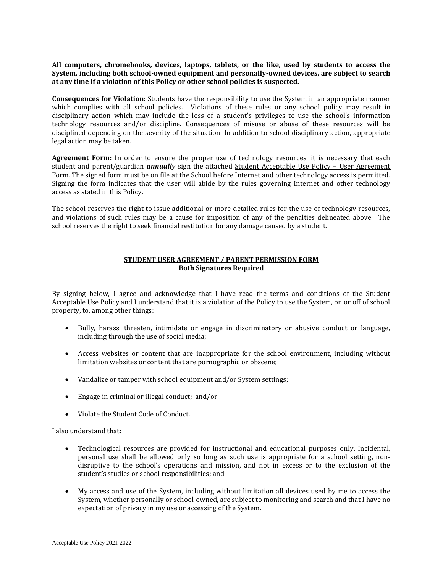**All computers, chromebooks, devices, laptops, tablets, or the like, used by students to access the System, including both school-owned equipment and personally-owned devices, are subject to search at any time if a violation of this Policy or other school policies is suspected.**

**Consequences for Violation**: Students have the responsibility to use the System in an appropriate manner which complies with all school policies. Violations of these rules or any school policy may result in disciplinary action which may include the loss of a student's privileges to use the school's information technology resources and/or discipline. Consequences of misuse or abuse of these resources will be disciplined depending on the severity of the situation. In addition to school disciplinary action, appropriate legal action may be taken.

**Agreement Form:** In order to ensure the proper use of technology resources, it is necessary that each student and parent/guardian *annually* sign the attached Student Acceptable Use Policy – User Agreement Form. The signed form must be on file at the School before Internet and other technology access is permitted. Signing the form indicates that the user will abide by the rules governing Internet and other technology access as stated in this Policy.

The school reserves the right to issue additional or more detailed rules for the use of technology resources, and violations of such rules may be a cause for imposition of any of the penalties delineated above. The school reserves the right to seek financial restitution for any damage caused by a student.

#### **STUDENT USER AGREEMENT / PARENT PERMISSION FORM Both Signatures Required**

By signing below, I agree and acknowledge that I have read the terms and conditions of the Student Acceptable Use Policy and I understand that it is a violation of the Policy to use the System, on or off of school property, to, among other things:

- Bully, harass, threaten, intimidate or engage in discriminatory or abusive conduct or language, including through the use of social media;
- Access websites or content that are inappropriate for the school environment, including without limitation websites or content that are pornographic or obscene;
- Vandalize or tamper with school equipment and/or System settings;
- Engage in criminal or illegal conduct; and/or
- Violate the Student Code of Conduct.

I also understand that:

- Technological resources are provided for instructional and educational purposes only. Incidental, personal use shall be allowed only so long as such use is appropriate for a school setting, nondisruptive to the school's operations and mission, and not in excess or to the exclusion of the student's studies or school responsibilities; and
- My access and use of the System, including without limitation all devices used by me to access the System, whether personally or school-owned, are subject to monitoring and search and that I have no expectation of privacy in my use or accessing of the System.